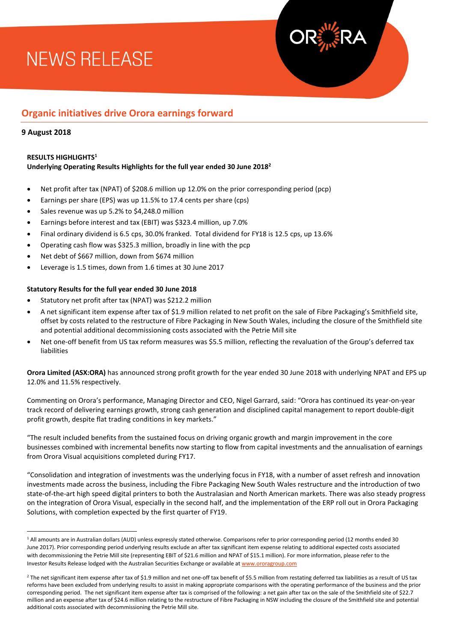# **NEWS RELEASE**



## **Organic initiatives drive Orora earnings forward**

### **9 August 2018**

 $\overline{a}$ 

#### **RESULTS HIGHLIGHTS<sup>1</sup>**

#### **Underlying Operating Results Highlights for the full year ended 30 June 2018<sup>2</sup>**

- Net profit after tax (NPAT) of \$208.6 million up 12.0% on the prior corresponding period (pcp)
- Earnings per share (EPS) was up 11.5% to 17.4 cents per share (cps)
- Sales revenue was up 5.2% to \$4,248.0 million
- Earnings before interest and tax (EBIT) was \$323.4 million, up 7.0%
- Final ordinary dividend is 6.5 cps, 30.0% franked. Total dividend for FY18 is 12.5 cps, up 13.6%
- Operating cash flow was \$325.3 million, broadly in line with the pcp
- Net debt of \$667 million, down from \$674 million
- Leverage is 1.5 times, down from 1.6 times at 30 June 2017

#### **Statutory Results for the full year ended 30 June 2018**

- Statutory net profit after tax (NPAT) was \$212.2 million
- A net significant item expense after tax of \$1.9 million related to net profit on the sale of Fibre Packaging's Smithfield site, offset by costs related to the restructure of Fibre Packaging in New South Wales, including the closure of the Smithfield site and potential additional decommissioning costs associated with the Petrie Mill site
- Net one-off benefit from US tax reform measures was \$5.5 million, reflecting the revaluation of the Group's deferred tax liabilities

**Orora Limited (ASX:ORA)** has announced strong profit growth for the year ended 30 June 2018 with underlying NPAT and EPS up 12.0% and 11.5% respectively.

Commenting on Orora's performance, Managing Director and CEO, Nigel Garrard, said: "Orora has continued its year-on-year track record of delivering earnings growth, strong cash generation and disciplined capital management to report double-digit profit growth, despite flat trading conditions in key markets."

"The result included benefits from the sustained focus on driving organic growth and margin improvement in the core businesses combined with incremental benefits now starting to flow from capital investments and the annualisation of earnings from Orora Visual acquisitions completed during FY17.

"Consolidation and integration of investments was the underlying focus in FY18, with a number of asset refresh and innovation investments made across the business, including the Fibre Packaging New South Wales restructure and the introduction of two state-of-the-art high speed digital printers to both the Australasian and North American markets. There was also steady progress on the integration of Orora Visual, especially in the second half, and the implementation of the ERP roll out in Orora Packaging Solutions, with completion expected by the first quarter of FY19.

<sup>&</sup>lt;sup>1</sup> All amounts are in Australian dollars (AUD) unless expressly stated otherwise. Comparisons refer to prior corresponding period (12 months ended 30 June 2017). Prior corresponding period underlying results exclude an after tax significant item expense relating to additional expected costs associated with decommissioning the Petrie Mill site (representing EBIT of \$21.6 million and NPAT of \$15.1 million). For more information, please refer to the Investor Results Release lodged with the Australian Securities Exchange or available a[t www.ororagroup.com](http://www.ororagroup.com/)

 $2$  The net significant item expense after tax of \$1.9 million and net one-off tax benefit of \$5.5 million from restating deferred tax liabilities as a result of US tax reforms have been excluded from underlying results to assist in making appropriate comparisons with the operating performance of the business and the prior corresponding period. The net significant item expense after tax is comprised of the following: a net gain after tax on the sale of the Smithfield site of \$22.7 million and an expense after tax of \$24.6 million relating to the restructure of Fibre Packaging in NSW including the closure of the Smithfield site and potential additional costs associated with decommissioning the Petrie Mill site.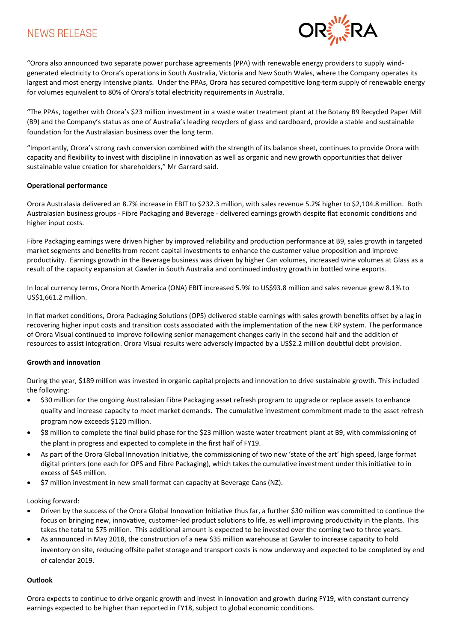# **NEWS RELEASE**



"Orora also announced two separate power purchase agreements (PPA) with renewable energy providers to supply windgenerated electricity to Orora's operations in South Australia, Victoria and New South Wales, where the Company operates its largest and most energy intensive plants. Under the PPAs, Orora has secured competitive long-term supply of renewable energy for volumes equivalent to 80% of Orora's total electricity requirements in Australia.

"The PPAs, together with Orora's \$23 million investment in a waste water treatment plant at the Botany B9 Recycled Paper Mill (B9) and the Company's status as one of Australia's leading recyclers of glass and cardboard, provide a stable and sustainable foundation for the Australasian business over the long term.

"Importantly, Orora's strong cash conversion combined with the strength of its balance sheet, continues to provide Orora with capacity and flexibility to invest with discipline in innovation as well as organic and new growth opportunities that deliver sustainable value creation for shareholders," Mr Garrard said.

#### **Operational performance**

Orora Australasia delivered an 8.7% increase in EBIT to \$232.3 million, with sales revenue 5.2% higher to \$2,104.8 million. Both Australasian business groups - Fibre Packaging and Beverage - delivered earnings growth despite flat economic conditions and higher input costs.

Fibre Packaging earnings were driven higher by improved reliability and production performance at B9, sales growth in targeted market segments and benefits from recent capital investments to enhance the customer value proposition and improve productivity. Earnings growth in the Beverage business was driven by higher Can volumes, increased wine volumes at Glass as a result of the capacity expansion at Gawler in South Australia and continued industry growth in bottled wine exports.

In local currency terms, Orora North America (ONA) EBIT increased 5.9% to US\$93.8 million and sales revenue grew 8.1% to US\$1,661.2 million.

In flat market conditions, Orora Packaging Solutions (OPS) delivered stable earnings with sales growth benefits offset by a lag in recovering higher input costs and transition costs associated with the implementation of the new ERP system. The performance of Orora Visual continued to improve following senior management changes early in the second half and the addition of resources to assist integration. Orora Visual results were adversely impacted by a US\$2.2 million doubtful debt provision.

#### **Growth and innovation**

During the year, \$189 million was invested in organic capital projects and innovation to drive sustainable growth. This included the following:

- \$30 million for the ongoing Australasian Fibre Packaging asset refresh program to upgrade or replace assets to enhance quality and increase capacity to meet market demands. The cumulative investment commitment made to the asset refresh program now exceeds \$120 million.
- \$8 million to complete the final build phase for the \$23 million waste water treatment plant at B9, with commissioning of the plant in progress and expected to complete in the first half of FY19.
- As part of the Orora Global Innovation Initiative, the commissioning of two new 'state of the art' high speed, large format digital printers (one each for OPS and Fibre Packaging), which takes the cumulative investment under this initiative to in excess of \$45 million.
- \$7 million investment in new small format can capacity at Beverage Cans (NZ).

Looking forward:

- Driven by the success of the Orora Global Innovation Initiative thus far, a further \$30 million was committed to continue the focus on bringing new, innovative, customer-led product solutions to life, as well improving productivity in the plants. This takes the total to \$75 million. This additional amount is expected to be invested over the coming two to three years.
- As announced in May 2018, the construction of a new \$35 million warehouse at Gawler to increase capacity to hold inventory on site, reducing offsite pallet storage and transport costs is now underway and expected to be completed by end of calendar 2019.

#### **Outlook**

Orora expects to continue to drive organic growth and invest in innovation and growth during FY19, with constant currency earnings expected to be higher than reported in FY18, subject to global economic conditions.